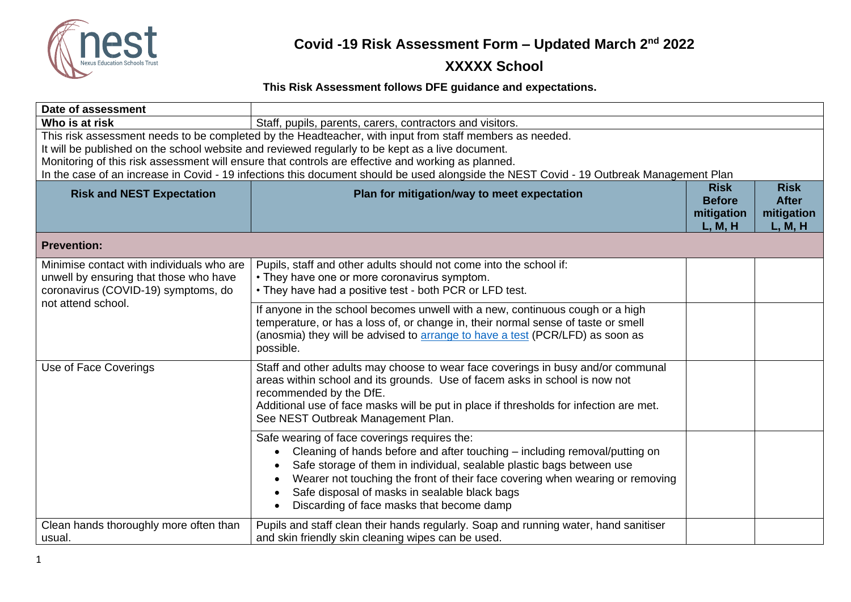

#### **XXXXX School**

#### **This Risk Assessment follows DFE guidance and expectations.**

| Date of assessment                                                                                                                                                                                                                                                                                                                                                                                                                                           |                                                                                                                                                                                                                                                                                                                                                                                    |                                                       |                                                      |
|--------------------------------------------------------------------------------------------------------------------------------------------------------------------------------------------------------------------------------------------------------------------------------------------------------------------------------------------------------------------------------------------------------------------------------------------------------------|------------------------------------------------------------------------------------------------------------------------------------------------------------------------------------------------------------------------------------------------------------------------------------------------------------------------------------------------------------------------------------|-------------------------------------------------------|------------------------------------------------------|
| Who is at risk                                                                                                                                                                                                                                                                                                                                                                                                                                               | Staff, pupils, parents, carers, contractors and visitors.                                                                                                                                                                                                                                                                                                                          |                                                       |                                                      |
| This risk assessment needs to be completed by the Headteacher, with input from staff members as needed.<br>It will be published on the school website and reviewed regularly to be kept as a live document.<br>Monitoring of this risk assessment will ensure that controls are effective and working as planned.<br>In the case of an increase in Covid - 19 infections this document should be used alongside the NEST Covid - 19 Outbreak Management Plan |                                                                                                                                                                                                                                                                                                                                                                                    |                                                       |                                                      |
| <b>Risk and NEST Expectation</b>                                                                                                                                                                                                                                                                                                                                                                                                                             | Plan for mitigation/way to meet expectation                                                                                                                                                                                                                                                                                                                                        | <b>Risk</b><br><b>Before</b><br>mitigation<br>L, M, H | <b>Risk</b><br><b>After</b><br>mitigation<br>L, M, H |
| <b>Prevention:</b>                                                                                                                                                                                                                                                                                                                                                                                                                                           |                                                                                                                                                                                                                                                                                                                                                                                    |                                                       |                                                      |
| Minimise contact with individuals who are<br>unwell by ensuring that those who have<br>coronavirus (COVID-19) symptoms, do<br>not attend school.                                                                                                                                                                                                                                                                                                             | Pupils, staff and other adults should not come into the school if:<br>• They have one or more coronavirus symptom.<br>• They have had a positive test - both PCR or LFD test.                                                                                                                                                                                                      |                                                       |                                                      |
|                                                                                                                                                                                                                                                                                                                                                                                                                                                              | If anyone in the school becomes unwell with a new, continuous cough or a high<br>temperature, or has a loss of, or change in, their normal sense of taste or smell<br>(anosmia) they will be advised to arrange to have a test (PCR/LFD) as soon as<br>possible.                                                                                                                   |                                                       |                                                      |
| Use of Face Coverings                                                                                                                                                                                                                                                                                                                                                                                                                                        | Staff and other adults may choose to wear face coverings in busy and/or communal<br>areas within school and its grounds. Use of facem asks in school is now not<br>recommended by the DfE.<br>Additional use of face masks will be put in place if thresholds for infection are met.<br>See NEST Outbreak Management Plan.                                                         |                                                       |                                                      |
|                                                                                                                                                                                                                                                                                                                                                                                                                                                              | Safe wearing of face coverings requires the:<br>Cleaning of hands before and after touching - including removal/putting on<br>Safe storage of them in individual, sealable plastic bags between use<br>Wearer not touching the front of their face covering when wearing or removing<br>Safe disposal of masks in sealable black bags<br>Discarding of face masks that become damp |                                                       |                                                      |
| Clean hands thoroughly more often than<br>usual.                                                                                                                                                                                                                                                                                                                                                                                                             | Pupils and staff clean their hands regularly. Soap and running water, hand sanitiser<br>and skin friendly skin cleaning wipes can be used.                                                                                                                                                                                                                                         |                                                       |                                                      |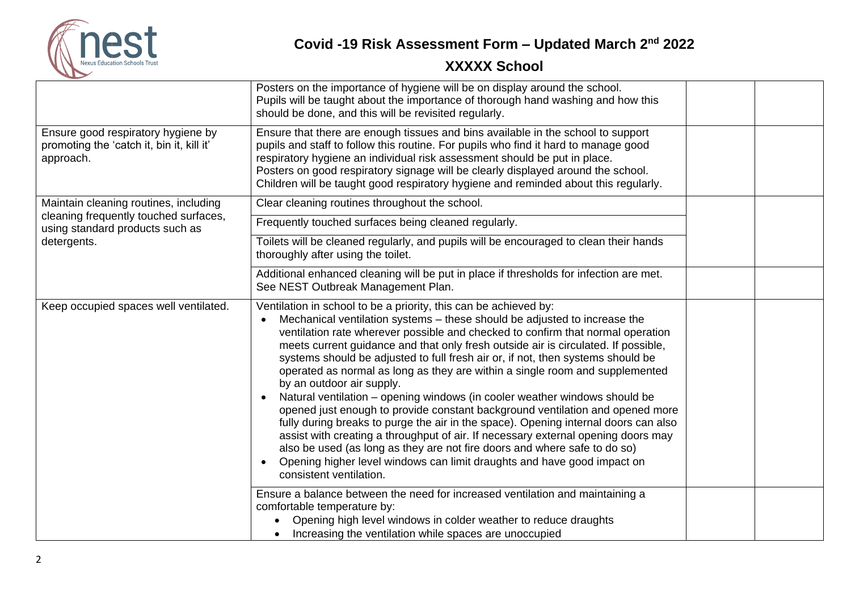

|                                                                                              | Posters on the importance of hygiene will be on display around the school.<br>Pupils will be taught about the importance of thorough hand washing and how this<br>should be done, and this will be revisited regularly.                                                                                                                                                                                                                                                                                                                                                                                                                                                                                                                                                                                                                                                                                                                                                                                                                                           |  |
|----------------------------------------------------------------------------------------------|-------------------------------------------------------------------------------------------------------------------------------------------------------------------------------------------------------------------------------------------------------------------------------------------------------------------------------------------------------------------------------------------------------------------------------------------------------------------------------------------------------------------------------------------------------------------------------------------------------------------------------------------------------------------------------------------------------------------------------------------------------------------------------------------------------------------------------------------------------------------------------------------------------------------------------------------------------------------------------------------------------------------------------------------------------------------|--|
| Ensure good respiratory hygiene by<br>promoting the 'catch it, bin it, kill it'<br>approach. | Ensure that there are enough tissues and bins available in the school to support<br>pupils and staff to follow this routine. For pupils who find it hard to manage good<br>respiratory hygiene an individual risk assessment should be put in place.<br>Posters on good respiratory signage will be clearly displayed around the school.<br>Children will be taught good respiratory hygiene and reminded about this regularly.                                                                                                                                                                                                                                                                                                                                                                                                                                                                                                                                                                                                                                   |  |
| Maintain cleaning routines, including                                                        | Clear cleaning routines throughout the school.                                                                                                                                                                                                                                                                                                                                                                                                                                                                                                                                                                                                                                                                                                                                                                                                                                                                                                                                                                                                                    |  |
| cleaning frequently touched surfaces,<br>using standard products such as                     | Frequently touched surfaces being cleaned regularly.                                                                                                                                                                                                                                                                                                                                                                                                                                                                                                                                                                                                                                                                                                                                                                                                                                                                                                                                                                                                              |  |
| detergents.                                                                                  | Toilets will be cleaned regularly, and pupils will be encouraged to clean their hands<br>thoroughly after using the toilet.                                                                                                                                                                                                                                                                                                                                                                                                                                                                                                                                                                                                                                                                                                                                                                                                                                                                                                                                       |  |
|                                                                                              | Additional enhanced cleaning will be put in place if thresholds for infection are met.<br>See NEST Outbreak Management Plan.                                                                                                                                                                                                                                                                                                                                                                                                                                                                                                                                                                                                                                                                                                                                                                                                                                                                                                                                      |  |
| Keep occupied spaces well ventilated.                                                        | Ventilation in school to be a priority, this can be achieved by:<br>Mechanical ventilation systems – these should be adjusted to increase the<br>ventilation rate wherever possible and checked to confirm that normal operation<br>meets current guidance and that only fresh outside air is circulated. If possible,<br>systems should be adjusted to full fresh air or, if not, then systems should be<br>operated as normal as long as they are within a single room and supplemented<br>by an outdoor air supply.<br>Natural ventilation - opening windows (in cooler weather windows should be<br>opened just enough to provide constant background ventilation and opened more<br>fully during breaks to purge the air in the space). Opening internal doors can also<br>assist with creating a throughput of air. If necessary external opening doors may<br>also be used (as long as they are not fire doors and where safe to do so)<br>Opening higher level windows can limit draughts and have good impact on<br>$\bullet$<br>consistent ventilation. |  |
|                                                                                              | Ensure a balance between the need for increased ventilation and maintaining a<br>comfortable temperature by:<br>Opening high level windows in colder weather to reduce draughts<br>Increasing the ventilation while spaces are unoccupied                                                                                                                                                                                                                                                                                                                                                                                                                                                                                                                                                                                                                                                                                                                                                                                                                         |  |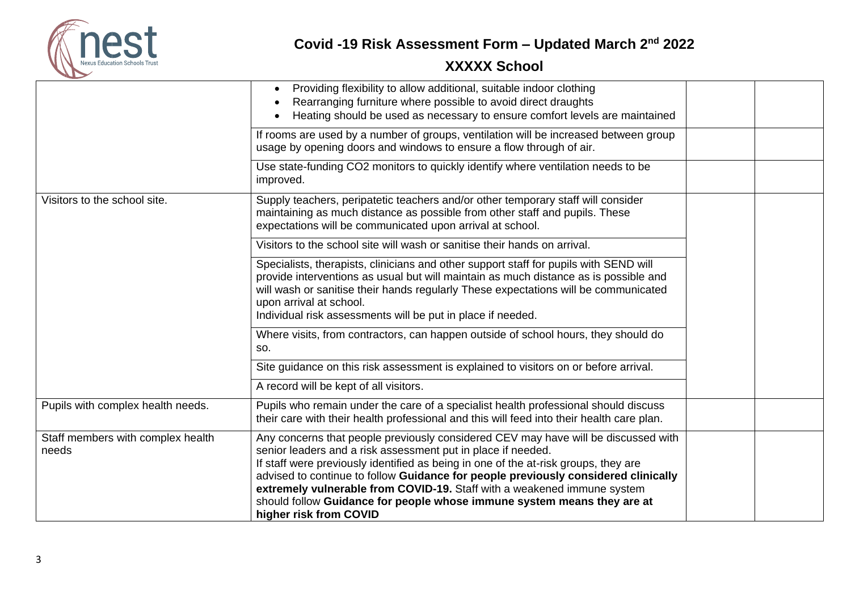

|                                            | Providing flexibility to allow additional, suitable indoor clothing<br>$\bullet$<br>Rearranging furniture where possible to avoid direct draughts<br>Heating should be used as necessary to ensure comfort levels are maintained                                                                                                                                                                                                                                                                                |  |
|--------------------------------------------|-----------------------------------------------------------------------------------------------------------------------------------------------------------------------------------------------------------------------------------------------------------------------------------------------------------------------------------------------------------------------------------------------------------------------------------------------------------------------------------------------------------------|--|
|                                            | If rooms are used by a number of groups, ventilation will be increased between group<br>usage by opening doors and windows to ensure a flow through of air.                                                                                                                                                                                                                                                                                                                                                     |  |
|                                            | Use state-funding CO2 monitors to quickly identify where ventilation needs to be<br>improved.                                                                                                                                                                                                                                                                                                                                                                                                                   |  |
| Visitors to the school site.               | Supply teachers, peripatetic teachers and/or other temporary staff will consider<br>maintaining as much distance as possible from other staff and pupils. These<br>expectations will be communicated upon arrival at school.                                                                                                                                                                                                                                                                                    |  |
|                                            | Visitors to the school site will wash or sanitise their hands on arrival.                                                                                                                                                                                                                                                                                                                                                                                                                                       |  |
|                                            | Specialists, therapists, clinicians and other support staff for pupils with SEND will<br>provide interventions as usual but will maintain as much distance as is possible and<br>will wash or sanitise their hands regularly These expectations will be communicated<br>upon arrival at school.<br>Individual risk assessments will be put in place if needed.                                                                                                                                                  |  |
|                                            | Where visits, from contractors, can happen outside of school hours, they should do<br>SO.                                                                                                                                                                                                                                                                                                                                                                                                                       |  |
|                                            | Site guidance on this risk assessment is explained to visitors on or before arrival.                                                                                                                                                                                                                                                                                                                                                                                                                            |  |
|                                            | A record will be kept of all visitors.                                                                                                                                                                                                                                                                                                                                                                                                                                                                          |  |
| Pupils with complex health needs.          | Pupils who remain under the care of a specialist health professional should discuss<br>their care with their health professional and this will feed into their health care plan.                                                                                                                                                                                                                                                                                                                                |  |
| Staff members with complex health<br>needs | Any concerns that people previously considered CEV may have will be discussed with<br>senior leaders and a risk assessment put in place if needed.<br>If staff were previously identified as being in one of the at-risk groups, they are<br>advised to continue to follow Guidance for people previously considered clinically<br>extremely vulnerable from COVID-19. Staff with a weakened immune system<br>should follow Guidance for people whose immune system means they are at<br>higher risk from COVID |  |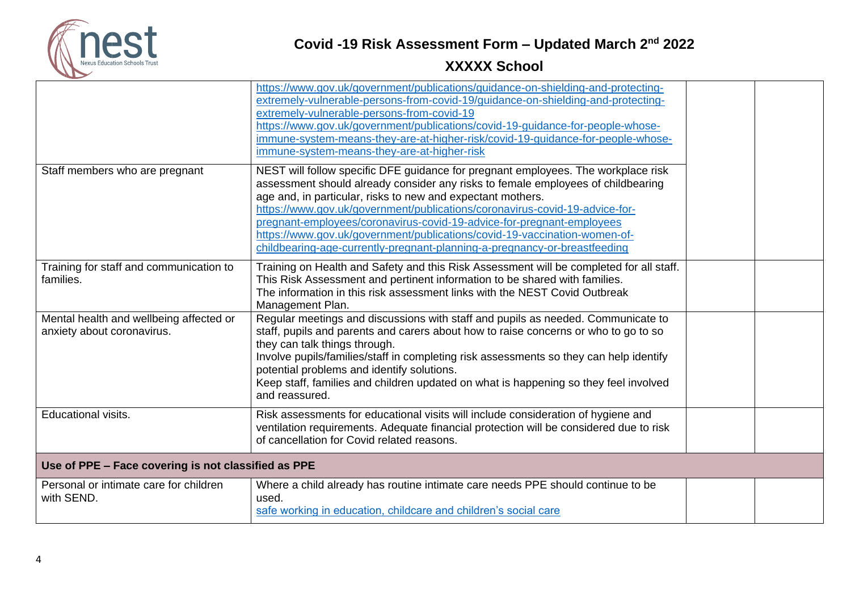

|                                                                       | https://www.gov.uk/government/publications/guidance-on-shielding-and-protecting-<br>extremely-vulnerable-persons-from-covid-19/guidance-on-shielding-and-protecting-<br>extremely-vulnerable-persons-from-covid-19<br>https://www.gov.uk/government/publications/covid-19-guidance-for-people-whose-<br>immune-system-means-they-are-at-higher-risk/covid-19-guidance-for-people-whose-<br>immune-system-means-they-are-at-higher-risk                                                                                                                 |  |  |
|-----------------------------------------------------------------------|--------------------------------------------------------------------------------------------------------------------------------------------------------------------------------------------------------------------------------------------------------------------------------------------------------------------------------------------------------------------------------------------------------------------------------------------------------------------------------------------------------------------------------------------------------|--|--|
| Staff members who are pregnant                                        | NEST will follow specific DFE guidance for pregnant employees. The workplace risk<br>assessment should already consider any risks to female employees of childbearing<br>age and, in particular, risks to new and expectant mothers.<br>https://www.gov.uk/government/publications/coronavirus-covid-19-advice-for-<br>pregnant-employees/coronavirus-covid-19-advice-for-pregnant-employees<br>https://www.gov.uk/government/publications/covid-19-vaccination-women-of-<br>childbearing-age-currently-pregnant-planning-a-pregnancy-or-breastfeeding |  |  |
| Training for staff and communication to<br>families.                  | Training on Health and Safety and this Risk Assessment will be completed for all staff.<br>This Risk Assessment and pertinent information to be shared with families.<br>The information in this risk assessment links with the NEST Covid Outbreak<br>Management Plan.                                                                                                                                                                                                                                                                                |  |  |
| Mental health and wellbeing affected or<br>anxiety about coronavirus. | Regular meetings and discussions with staff and pupils as needed. Communicate to<br>staff, pupils and parents and carers about how to raise concerns or who to go to so<br>they can talk things through.<br>Involve pupils/families/staff in completing risk assessments so they can help identify<br>potential problems and identify solutions.<br>Keep staff, families and children updated on what is happening so they feel involved<br>and reassured.                                                                                             |  |  |
| Educational visits.                                                   | Risk assessments for educational visits will include consideration of hygiene and<br>ventilation requirements. Adequate financial protection will be considered due to risk<br>of cancellation for Covid related reasons.                                                                                                                                                                                                                                                                                                                              |  |  |
| Use of PPE - Face covering is not classified as PPE                   |                                                                                                                                                                                                                                                                                                                                                                                                                                                                                                                                                        |  |  |
| Personal or intimate care for children<br>with SEND.                  | Where a child already has routine intimate care needs PPE should continue to be<br>used.<br>safe working in education, childcare and children's social care                                                                                                                                                                                                                                                                                                                                                                                            |  |  |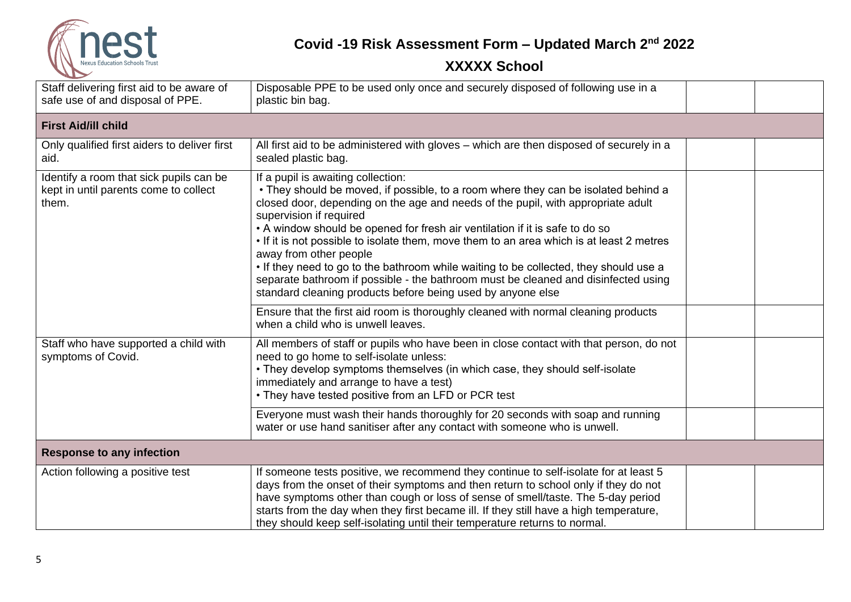

| Staff delivering first aid to be aware of<br>safe use of and disposal of PPE.             | Disposable PPE to be used only once and securely disposed of following use in a<br>plastic bin bag.                                                                                                                                                                                                                                                                                                                                                                                                                                                                                                                                                                                         |  |
|-------------------------------------------------------------------------------------------|---------------------------------------------------------------------------------------------------------------------------------------------------------------------------------------------------------------------------------------------------------------------------------------------------------------------------------------------------------------------------------------------------------------------------------------------------------------------------------------------------------------------------------------------------------------------------------------------------------------------------------------------------------------------------------------------|--|
| <b>First Aid/ill child</b>                                                                |                                                                                                                                                                                                                                                                                                                                                                                                                                                                                                                                                                                                                                                                                             |  |
| Only qualified first aiders to deliver first<br>aid.                                      | All first aid to be administered with gloves - which are then disposed of securely in a<br>sealed plastic bag.                                                                                                                                                                                                                                                                                                                                                                                                                                                                                                                                                                              |  |
| Identify a room that sick pupils can be<br>kept in until parents come to collect<br>them. | If a pupil is awaiting collection:<br>• They should be moved, if possible, to a room where they can be isolated behind a<br>closed door, depending on the age and needs of the pupil, with appropriate adult<br>supervision if required<br>• A window should be opened for fresh air ventilation if it is safe to do so<br>• If it is not possible to isolate them, move them to an area which is at least 2 metres<br>away from other people<br>. If they need to go to the bathroom while waiting to be collected, they should use a<br>separate bathroom if possible - the bathroom must be cleaned and disinfected using<br>standard cleaning products before being used by anyone else |  |
|                                                                                           | Ensure that the first aid room is thoroughly cleaned with normal cleaning products<br>when a child who is unwell leaves.                                                                                                                                                                                                                                                                                                                                                                                                                                                                                                                                                                    |  |
| Staff who have supported a child with<br>symptoms of Covid.                               | All members of staff or pupils who have been in close contact with that person, do not<br>need to go home to self-isolate unless:<br>• They develop symptoms themselves (in which case, they should self-isolate<br>immediately and arrange to have a test)<br>• They have tested positive from an LFD or PCR test                                                                                                                                                                                                                                                                                                                                                                          |  |
|                                                                                           | Everyone must wash their hands thoroughly for 20 seconds with soap and running<br>water or use hand sanitiser after any contact with someone who is unwell.                                                                                                                                                                                                                                                                                                                                                                                                                                                                                                                                 |  |
| <b>Response to any infection</b>                                                          |                                                                                                                                                                                                                                                                                                                                                                                                                                                                                                                                                                                                                                                                                             |  |
| Action following a positive test                                                          | If someone tests positive, we recommend they continue to self-isolate for at least 5<br>days from the onset of their symptoms and then return to school only if they do not<br>have symptoms other than cough or loss of sense of smell/taste. The 5-day period<br>starts from the day when they first became ill. If they still have a high temperature,<br>they should keep self-isolating until their temperature returns to normal.                                                                                                                                                                                                                                                     |  |